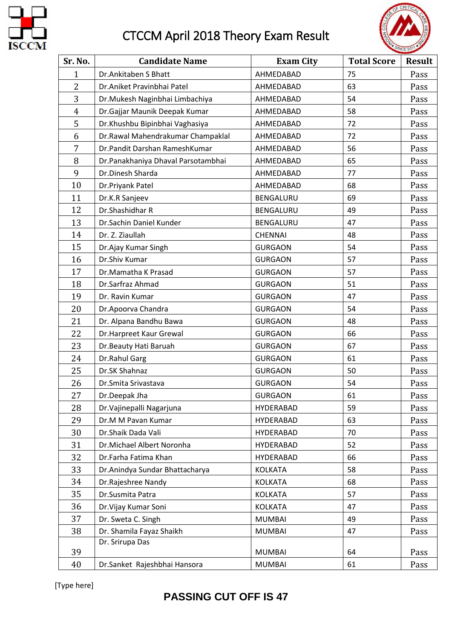

## CTCCM April 2018 Theory Exam Result



| Sr. No.        | <b>Candidate Name</b>              | <b>Exam City</b> | <b>Total Score</b> | <b>Result</b> |
|----------------|------------------------------------|------------------|--------------------|---------------|
| $\mathbf{1}$   | Dr.Ankitaben S Bhatt               | AHMEDABAD        | 75                 | Pass          |
| $\overline{2}$ | Dr.Aniket Pravinbhai Patel         | AHMEDABAD        | 63                 | Pass          |
| 3              | Dr. Mukesh Naginbhai Limbachiya    | AHMEDABAD        | 54                 | Pass          |
| $\overline{4}$ | Dr.Gajjar Maunik Deepak Kumar      | AHMEDABAD        | 58                 | Pass          |
| 5              | Dr.Khushbu Bipinbhai Vaghasiya     | AHMEDABAD        | 72                 | Pass          |
| 6              | Dr.Rawal Mahendrakumar Champaklal  | AHMEDABAD        | 72                 | Pass          |
| 7              | Dr.Pandit Darshan RameshKumar      | AHMEDABAD        | 56                 | Pass          |
| 8              | Dr.Panakhaniya Dhaval Parsotambhai | AHMEDABAD        | 65                 | Pass          |
| 9              | Dr.Dinesh Sharda                   | AHMEDABAD        | 77                 | Pass          |
| 10             | Dr.Priyank Patel                   | AHMEDABAD        | 68                 | Pass          |
| 11             | Dr.K.R Sanjeev                     | BENGALURU        | 69                 | Pass          |
| 12             | Dr.Shashidhar R                    | BENGALURU        | 49                 | Pass          |
| 13             | Dr.Sachin Daniel Kunder            | BENGALURU        | 47                 | Pass          |
| 14             | Dr. Z. Ziaullah                    | <b>CHENNAI</b>   | 48                 | Pass          |
| 15             | Dr.Ajay Kumar Singh                | <b>GURGAON</b>   | 54                 | Pass          |
| 16             | Dr.Shiv Kumar                      | <b>GURGAON</b>   | 57                 | Pass          |
| 17             | Dr.Mamatha K Prasad                | <b>GURGAON</b>   | 57                 | Pass          |
| 18             | Dr.Sarfraz Ahmad                   | <b>GURGAON</b>   | 51                 | Pass          |
| 19             | Dr. Ravin Kumar                    | <b>GURGAON</b>   | 47                 | Pass          |
| 20             | Dr.Apoorva Chandra                 | <b>GURGAON</b>   | 54                 | Pass          |
| 21             | Dr. Alpana Bandhu Bawa             | <b>GURGAON</b>   | 48                 | Pass          |
| 22             | Dr.Harpreet Kaur Grewal            | <b>GURGAON</b>   | 66                 | Pass          |
| 23             | Dr.Beauty Hati Baruah              | <b>GURGAON</b>   | 67                 | Pass          |
| 24             | Dr.Rahul Garg                      | <b>GURGAON</b>   | 61                 | Pass          |
| 25             | Dr.SK Shahnaz                      | <b>GURGAON</b>   | 50                 | Pass          |
| 26             | Dr.Smita Srivastava                | <b>GURGAON</b>   | 54                 | Pass          |
| 27             | Dr.Deepak Jha                      | <b>GURGAON</b>   | 61                 | Pass          |
| 28             | Dr. Vajine palli Nagarjuna         | HYDERABAD        | 59                 | Pass          |
| 29             | Dr.M M Pavan Kumar                 | <b>HYDERABAD</b> | 63                 | Pass          |
| 30             | Dr.Shaik Dada Vali                 | HYDERABAD        | 70                 | Pass          |
| 31             | Dr.Michael Albert Noronha          | HYDERABAD        | 52                 | Pass          |
| 32             | Dr.Farha Fatima Khan               | HYDERABAD        | 66                 | Pass          |
| 33             | Dr.Anindya Sundar Bhattacharya     | <b>KOLKATA</b>   | 58                 | Pass          |
| 34             | Dr.Rajeshree Nandy                 | <b>KOLKATA</b>   | 68                 | Pass          |
| 35             | Dr.Susmita Patra                   | <b>KOLKATA</b>   | 57                 | Pass          |
| 36             | Dr. Vijay Kumar Soni               | <b>KOLKATA</b>   | 47                 | Pass          |
| 37             | Dr. Sweta C. Singh                 | <b>MUMBAI</b>    | 49                 | Pass          |
| 38             | Dr. Shamila Fayaz Shaikh           | <b>MUMBAI</b>    | 47                 | Pass          |
|                | Dr. Srirupa Das                    |                  |                    |               |
| 39             |                                    | <b>MUMBAI</b>    | 64                 | Pass          |
| 40             | Dr.Sanket Rajeshbhai Hansora       | <b>MUMBAI</b>    | 61                 | Pass          |

[Type here]